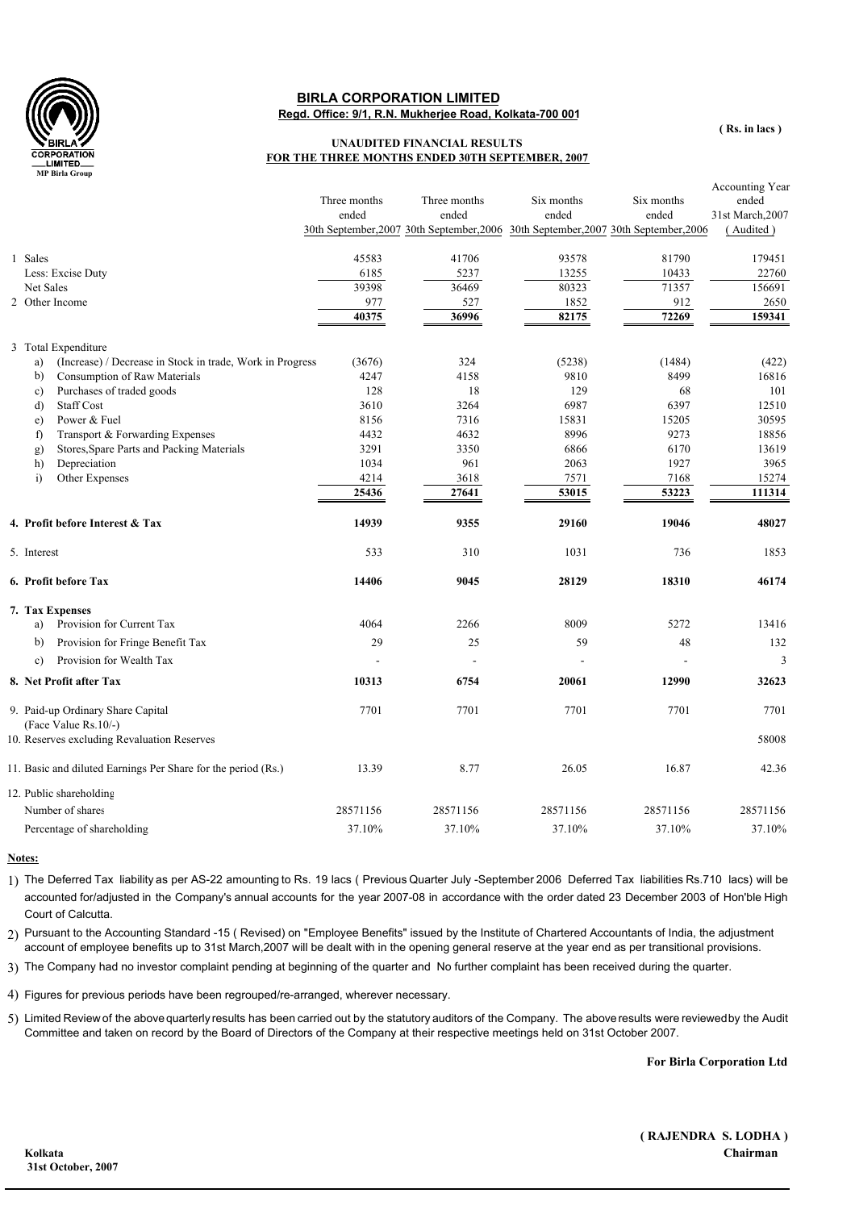

## **Regd. Office: 9/1, R.N. Mukherjee Road, Kolkata-700 001 BIRLA CORPORATION LIMITED**

## **UNAUDITED FINANCIAL RESULTS FOR THE THREE MONTHS ENDED 30TH SEPTEMBER, 2007**

|                                                                 | Three months<br>ended | Three months<br>ended<br>30th September, 2007 30th September, 2006 30th September, 2007 30th September, 2006 | Six months<br>ended | Six months<br>ended | Accounting Year<br>ended<br>31st March, 2007<br>(Audited) |
|-----------------------------------------------------------------|-----------------------|--------------------------------------------------------------------------------------------------------------|---------------------|---------------------|-----------------------------------------------------------|
| 1 Sales                                                         | 45583                 | 41706                                                                                                        | 93578               | 81790               | 179451                                                    |
| Less: Excise Duty                                               | 6185                  | 5237                                                                                                         | 13255               | 10433               | 22760                                                     |
| Net Sales                                                       | 39398                 | 36469                                                                                                        | 80323               | 71357               | 156691                                                    |
| 2 Other Income                                                  | 977                   | 527                                                                                                          | 1852                | 912                 | 2650                                                      |
|                                                                 | 40375                 | 36996                                                                                                        | 82175               | 72269               | 159341                                                    |
| 3 Total Expenditure                                             |                       |                                                                                                              |                     |                     |                                                           |
| (Increase) / Decrease in Stock in trade, Work in Progress<br>a) | (3676)                | 324                                                                                                          | (5238)              | (1484)              | (422)                                                     |
| Consumption of Raw Materials<br>b)                              | 4247                  | 4158                                                                                                         | 9810                | 8499                | 16816                                                     |
| Purchases of traded goods<br>$\mathbf{c}$                       | 128                   | 18                                                                                                           | 129                 | 68                  | 101                                                       |
| <b>Staff Cost</b><br>d)                                         | 3610                  | 3264                                                                                                         | 6987                | 6397                | 12510                                                     |
| Power & Fuel<br>$\epsilon$ )                                    | 8156                  | 7316                                                                                                         | 15831               | 15205               | 30595                                                     |
| Transport & Forwarding Expenses<br>f)                           | 4432                  | 4632                                                                                                         | 8996                | 9273                | 18856                                                     |
| Stores, Spare Parts and Packing Materials<br>g)                 | 3291                  | 3350                                                                                                         | 6866                | 6170                | 13619                                                     |
| Depreciation<br>h)                                              | 1034                  | 961                                                                                                          | 2063                | 1927                | 3965                                                      |
| Other Expenses<br>$\ddot{1}$                                    | 4214                  | 3618                                                                                                         | 7571                | 7168                | 15274                                                     |
|                                                                 | 25436                 | 27641                                                                                                        | 53015               | 53223               | 111314                                                    |
| 4. Profit before Interest & Tax                                 | 14939                 | 9355                                                                                                         | 29160               | 19046               | 48027                                                     |
| 5. Interest                                                     | 533                   | 310                                                                                                          | 1031                | 736                 | 1853                                                      |
| 6. Profit before Tax                                            | 14406                 | 9045                                                                                                         | 28129               | 18310               | 46174                                                     |
| 7. Tax Expenses                                                 |                       |                                                                                                              |                     |                     |                                                           |
| Provision for Current Tax<br>a)                                 | 4064                  | 2266                                                                                                         | 8009                | 5272                | 13416                                                     |
| Provision for Fringe Benefit Tax<br>b)                          | 29                    | 25                                                                                                           | 59                  | 48                  | 132                                                       |
| Provision for Wealth Tax<br>$\mathbf{c}$                        |                       |                                                                                                              |                     | $\overline{a}$      | 3                                                         |
| 8. Net Profit after Tax                                         | 10313                 | 6754                                                                                                         | 20061               | 12990               | 32623                                                     |
| 9. Paid-up Ordinary Share Capital                               | 7701                  | 7701                                                                                                         | 7701                | 7701                | 7701                                                      |
| (Face Value Rs.10/-)                                            |                       |                                                                                                              |                     |                     |                                                           |
| 10. Reserves excluding Revaluation Reserves                     |                       |                                                                                                              |                     |                     | 58008                                                     |
| 11. Basic and diluted Earnings Per Share for the period (Rs.)   | 13.39                 | 8.77                                                                                                         | 26.05               | 16.87               | 42.36                                                     |
| 12. Public shareholding                                         |                       |                                                                                                              |                     |                     |                                                           |
| Number of shares                                                | 28571156              | 28571156                                                                                                     | 28571156            | 28571156            | 28571156                                                  |
| Percentage of shareholding                                      | 37.10%                | 37.10%                                                                                                       | 37.10%              | 37.10%              | 37.10%                                                    |

## **Notes:**

1) The Deferred Tax liability as per AS-22 amounting to Rs. 19 lacs ( Previous Quarter July -September 2006 Deferred Tax liabilities Rs.710 lacs) will be accounted for/adjusted in the Company's annual accounts for the year 2007-08 in accordance with the order dated 23 December 2003 of Hon'ble High Court of Calcutta.

2) Pursuant to the Accounting Standard -15 ( Revised) on "Employee Benefits" issued by the Institute of Chartered Accountants of India, the adjustment account of employee benefits up to 31st March,2007 will be dealt with in the opening general reserve at the year end as per transitional provisions.

3) The Company had no investor complaint pending at beginning of the quarter and No further complaint has been received during the quarter.

4) Figures for previous periods have been regrouped/re-arranged, wherever necessary.

5) Limited Review of the abovequarterly results has been carried out by the statutory auditors of the Company. The aboveresults were reviewedby the Audit Committee and taken on record by the Board of Directors of the Company at their respective meetings held on 31st October 2007.

**For Birla Corporation Ltd**

**( RAJENDRA S. LODHA ) Kolkata Chairman**

**( Rs. in lacs )**

 **31st October, 2007**